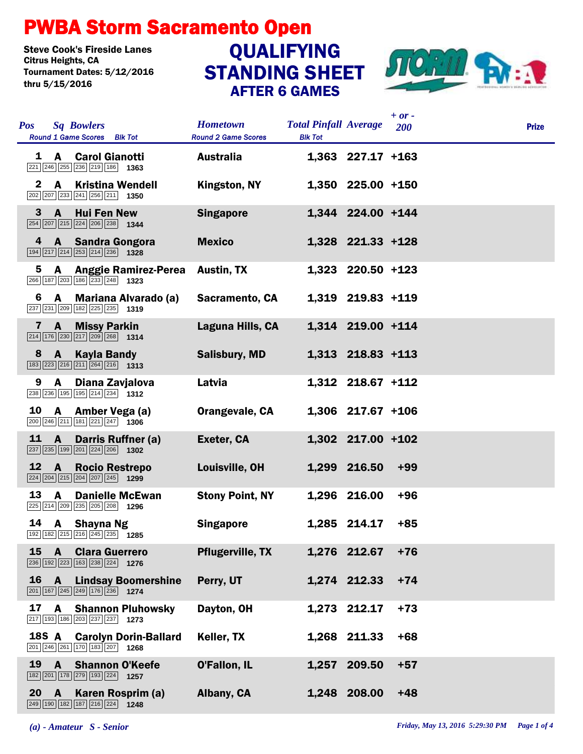## PWBA Storm Sacramento Open

Steve Cook's Fireside Lanes<br>Citrus Heights, CA Tournament Dates: 5/12/2016 thru 5/15/2016

## STANDING SHEET AFTER 6 GAMES **QUALIFYING**



|              |                                                                                                                                            |                                               |                                                |                     | $+ or -$ |              |
|--------------|--------------------------------------------------------------------------------------------------------------------------------------------|-----------------------------------------------|------------------------------------------------|---------------------|----------|--------------|
| <b>Pos</b>   | <b>Sq Bowlers</b><br><b>Round 1 Game Scores</b> Blk Tot                                                                                    | <b>Hometown</b><br><b>Round 2 Game Scores</b> | <b>Total Pinfall Average</b><br><b>Blk Tot</b> |                     | 200      | <b>Prize</b> |
| 1            | <b>Carol Gianotti</b><br>$\mathbf{A}$<br>$\boxed{221}$ $\boxed{246}$ $\boxed{255}$ $\boxed{236}$ $\boxed{219}$ $\boxed{186}$ <b>1363</b>   | <b>Australia</b>                              |                                                | $1,363$ 227.17 +163 |          |              |
| $\mathbf{2}$ | $\mathbf{A}$<br><b>Kristina Wendell</b><br>$\boxed{202}$ $\boxed{207}$ $\boxed{233}$ $\boxed{241}$ $\boxed{256}$ $\boxed{211}$ <b>1350</b> | Kingston, NY                                  |                                                | 1,350 225.00 +150   |          |              |
| 3            | $\mathbf{A}$<br><b>Hui Fen New</b><br>254 207 215 224 206 238 1344                                                                         | <b>Singapore</b>                              |                                                | 1,344 224.00 +144   |          |              |
| 4            | A Sandra Gongora<br>194 217 214 253 214 236 1328                                                                                           | <b>Mexico</b>                                 |                                                | 1,328 221.33 +128   |          |              |
| 5            | <b>Anggie Ramirez-Perea</b><br>A<br>266 187 203 186 233 248 1323                                                                           | <b>Austin, TX</b>                             |                                                | $1,323$ 220.50 +123 |          |              |
| 6            | A Mariana Alvarado (a)<br>237 231 209 182 225 235 1319                                                                                     | Sacramento, CA                                |                                                | 1,319 219.83 +119   |          |              |
| 7            | <b>Missy Parkin</b><br>$\mathbf{A}$<br>$\boxed{214}$ 176 230 217 209 268 1314                                                              | Laguna Hills, CA                              |                                                | 1,314 219.00 +114   |          |              |
| 8            | $\mathbf{A}$<br><b>Kayla Bandy</b><br>$\boxed{183}$ $\boxed{223}$ $\boxed{216}$ $\boxed{211}$ $\boxed{264}$ $\boxed{216}$ <b>1313</b>      | <b>Salisbury, MD</b>                          |                                                | 1,313 218.83 +113   |          |              |
| 9            | Diana Zavjalova<br>A<br>238 236 195 195 214 234 1312                                                                                       | Latvia                                        |                                                | 1,312 218.67 +112   |          |              |
| 10           | A —<br>Amber Vega (a)<br>200 246 211 181 221 247 1306                                                                                      | Orangevale, CA                                |                                                | $1,306$ 217.67 +106 |          |              |
| 11           | Darris Ruffner (a)<br>$\mathbf{A}$<br>237 235 199 201 224 206 1302                                                                         | Exeter, CA                                    |                                                | 1,302 217.00 +102   |          |              |
| 12           | $\mathbf{A}$<br><b>Rocio Restrepo</b><br>$\boxed{224}$ $\boxed{204}$ $\boxed{215}$ $\boxed{204}$ $\boxed{207}$ $\boxed{245}$ <b>1299</b>   | Louisville, OH                                |                                                | 1,299 216.50        | $+99$    |              |
| 13           | <b>Danielle McEwan</b><br>A<br>225 214 209 235 205 208 1296                                                                                | <b>Stony Point, NY</b>                        |                                                | 1,296 216.00        | $+96$    |              |
| 14           | <b>Shayna Ng</b><br>A<br>192 182 215 216 245 235 1285                                                                                      | <b>Singapore</b>                              |                                                | 1,285 214.17        | $+85$    |              |
| 15           | $\mathbf{A}$<br><b>Clara Guerrero</b><br>236 192 223 163 238 224 1276                                                                      | <b>Pflugerville, TX</b>                       |                                                | 1,276 212.67        | $+76$    |              |
| 16           | $\mathbf{A}$<br><b>Lindsay Boomershine</b><br>201 167 245 249 176 236 1274                                                                 | Perry, UT                                     |                                                | 1,274 212.33        | $+74$    |              |
| 17           | A<br><b>Shannon Pluhowsky</b><br>217 193 186 203 237 237 1273                                                                              | Dayton, OH                                    |                                                | 1,273 212.17        | $+73$    |              |
| <b>18S A</b> | <b>Carolyn Dorin-Ballard</b><br>201 246 261 170 183 207 1268                                                                               | Keller, TX                                    |                                                | 1,268 211.33        | $+68$    |              |
| 19           | $\mathbf{A}$<br><b>Shannon O'Keefe</b><br>182 201 178 279 193 224 1257                                                                     | O'Fallon, IL                                  | 1,257                                          | 209.50              | $+57$    |              |
| 20           | $\mathbf{A}$<br>Karen Rosprim (a)<br>$\boxed{249}$ 190 182 187 216 224 1248                                                                | Albany, CA                                    | 1,248                                          | 208.00              | $+48$    |              |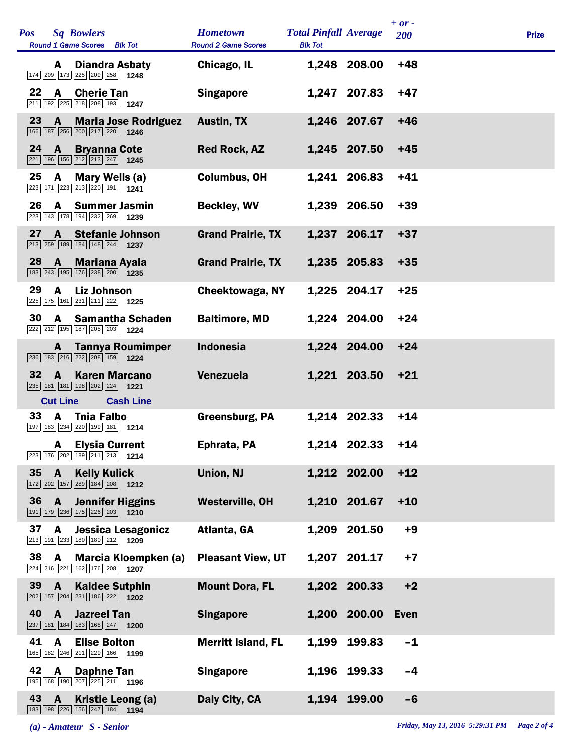| <b>Pos</b> |                 | <b>Sq Bowlers</b><br>Round 1 Game Scores Blk Tot                                                                     | <b>Hometown</b><br><b>Round 2 Game Scores</b> | <b>Total Pinfall Average</b><br><b>Blk Tot</b> |              | $+ or -$<br><b>200</b> | <b>Prize</b> |  |
|------------|-----------------|----------------------------------------------------------------------------------------------------------------------|-----------------------------------------------|------------------------------------------------|--------------|------------------------|--------------|--|
|            | A               | <b>Diandra Asbaty</b><br>174 209 173 225 209 258 1248                                                                | Chicago, IL                                   |                                                | 1,248 208.00 | $+48$                  |              |  |
| 22         | A               | <b>Cherie Tan</b><br>$\boxed{211}$ $\boxed{192}$ $\boxed{225}$ $\boxed{218}$ $\boxed{208}$ $\boxed{193}$ <b>1247</b> | <b>Singapore</b>                              |                                                | 1,247 207.83 | $+47$                  |              |  |
| 23         | $\mathbf{A}$    | <b>Maria Jose Rodriguez</b><br>166 187 256 200 217 220 1246                                                          | <b>Austin, TX</b>                             |                                                | 1,246 207.67 | $+46$                  |              |  |
| 24         | $\overline{A}$  | <b>Bryanna Cote</b><br>221 196 156 212 213 247 1245                                                                  | <b>Red Rock, AZ</b>                           |                                                | 1,245 207.50 | $+45$                  |              |  |
| 25         | A               | Mary Wells (a)<br>223 171 223 213 220 191 1241                                                                       | <b>Columbus, OH</b>                           |                                                | 1,241 206.83 | $+41$                  |              |  |
| 26         |                 | A Summer Jasmin<br>223 143 178 194 232 269 1239                                                                      | <b>Beckley, WV</b>                            |                                                | 1,239 206.50 | $+39$                  |              |  |
| 27         | A               | <b>Stefanie Johnson</b><br>$\boxed{213}$ $\boxed{259}$ 189 184 148 244 1237                                          | <b>Grand Prairie, TX</b>                      |                                                | 1,237 206.17 | $+37$                  |              |  |
| 28         | $\mathbf{A}$    | <b>Mariana Ayala</b><br>183 243 195 176 238 200 1235                                                                 | <b>Grand Prairie, TX</b>                      |                                                | 1,235 205.83 | $+35$                  |              |  |
| 29         | A               | <b>Liz Johnson</b><br>225 175 161 231 211 222 1225                                                                   | Cheektowaga, NY                               |                                                | 1,225 204.17 | $+25$                  |              |  |
| 30         |                 | A Samantha Schaden<br>222 212 195 187 205 203 1224                                                                   | <b>Baltimore, MD</b>                          |                                                | 1,224 204.00 | $+24$                  |              |  |
|            | A               | <b>Tannya Roumimper</b><br>236 183 216 222 208 159 1224                                                              | <b>Indonesia</b>                              |                                                | 1,224 204.00 | $+24$                  |              |  |
| 32         | $\mathbf{A}$    | <b>Karen Marcano</b><br>235 181 181 198 202 224 1221                                                                 | <b>Venezuela</b>                              |                                                | 1,221 203.50 | $+21$                  |              |  |
|            | <b>Cut Line</b> | <b>Cash Line</b>                                                                                                     |                                               |                                                |              |                        |              |  |
| 33         | A               | <b>Thia Falbo</b><br>197 183 234 220 199 181 1214                                                                    | <b>Greensburg, PA</b>                         |                                                | 1,214 202.33 | $+14$                  |              |  |
|            |                 | <b>A</b> Elysia Current<br>223 176 202 189 211 213 1214                                                              | Ephrata, PA                                   |                                                | 1,214 202.33 | $+14$                  |              |  |
| 35         | $\mathbf{A}$    | <b>Kelly Kulick</b><br>$\boxed{172}\boxed{202}\boxed{157}\boxed{289}\boxed{184}\boxed{208}$ 1212                     | <b>Union, NJ</b>                              |                                                | 1,212 202.00 | $+12$                  |              |  |
| 36         | $\mathbf{A}$    | <b>Jennifer Higgins</b><br>191 179 236 175 226 203 1210                                                              | <b>Westerville, OH</b>                        |                                                | 1,210 201.67 | $+10$                  |              |  |
| 37         | A               | Jessica Lesagonicz<br>$\boxed{213}$ 191 233 180 180 212 1209                                                         | Atlanta, GA                                   | 1,209                                          | 201.50       | $+9$                   |              |  |
| 38         | A               | Marcia Kloempken (a)<br>224 216 221 162 176 208 1207                                                                 | <b>Pleasant View, UT</b>                      |                                                | 1,207 201.17 | $+7$                   |              |  |
| 39         | $\mathbf{A}$    | <b>Kaidee Sutphin</b><br>$\boxed{202}$ 157 204 231 186 222 1202                                                      | <b>Mount Dora, FL</b>                         |                                                | 1,202 200.33 | $+2$                   |              |  |
| 40         | A               | <b>Jazreel Tan</b><br>$\boxed{237}$ 181 184 183 168 247 1200                                                         | <b>Singapore</b>                              |                                                | 1,200 200.00 | <b>Even</b>            |              |  |
| 41         | A               | <b>Elise Bolton</b><br>165 182 246 211 229 166 1199                                                                  | <b>Merritt Island, FL</b>                     | 1,199                                          | 199.83       | $-1$                   |              |  |
| 42         | A               | <b>Daphne Tan</b><br>195 168 190 207 225 211 1196                                                                    | <b>Singapore</b>                              |                                                | 1,196 199.33 | $-4$                   |              |  |
| 43         | $\mathbf{A}$    | Kristie Leong (a)<br>183 198 226 156 247 184<br>1194                                                                 | Daly City, CA                                 |                                                | 1,194 199.00 | $-6$                   |              |  |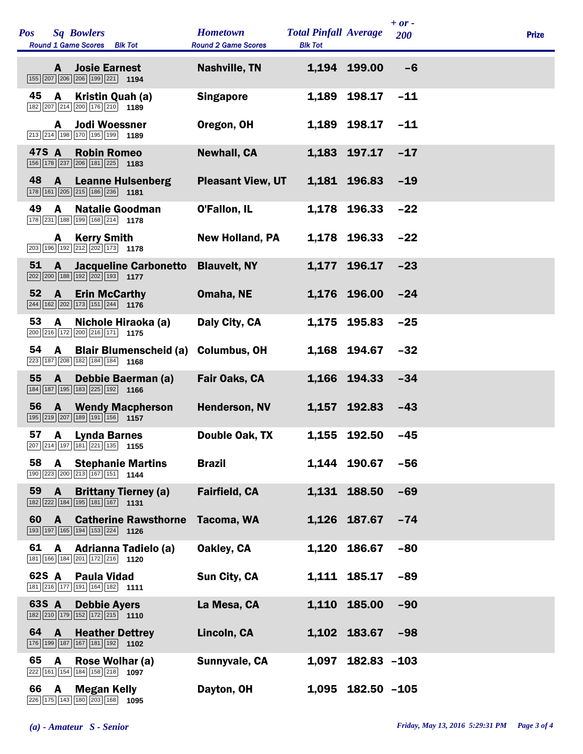| <b>Pos</b><br><b>Sq Bowlers</b><br>Round 1 Game Scores Blk Tot                                                                 | <b>Hometown</b><br><b>Round 2 Game Scores</b> | <b>Total Pinfall Average</b><br><b>Blk Tot</b> |                     | $+ or -$<br>200 | <b>Prize</b> |
|--------------------------------------------------------------------------------------------------------------------------------|-----------------------------------------------|------------------------------------------------|---------------------|-----------------|--------------|
| <b>Josie Earnest</b><br>A<br>155 207 206 206 199 221 194                                                                       | <b>Nashville, TN</b>                          |                                                | 1,194 199.00        | $-6$            |              |
| 45<br>A<br>Kristin Quah (a)<br>182 207 214 200 176 210 1189                                                                    | <b>Singapore</b>                              | 1,189                                          | 198.17              | $-11$           |              |
| <b>Jodi Woessner</b><br>A<br>213 214 198 170 195 199 1189                                                                      | Oregon, OH                                    | 1,189                                          | 198.17              | $-11$           |              |
| 47S A<br><b>Robin Romeo</b><br>$\boxed{156}$ $\boxed{178}$ $\boxed{237}$ $\boxed{206}$ $\boxed{181}$ $\boxed{225}$ <b>1183</b> | <b>Newhall, CA</b>                            |                                                | 1,183 197.17        | $-17$           |              |
| 48<br>$\mathbf{A}$<br><b>Leanne Hulsenberg</b><br>178 161 205 215 186 236 181                                                  | <b>Pleasant View, UT</b>                      |                                                | 1,181 196.83        | $-19$           |              |
| 49<br><b>Natalie Goodman</b><br>A<br>178 231 188 199 168 214 178                                                               | O'Fallon, IL                                  | 1,178                                          | 196.33              | $-22$           |              |
| <b>Kerry Smith</b><br>A<br>203 196 192 212 202 173 1778                                                                        | <b>New Holland, PA</b>                        |                                                | 1,178 196.33        | $-22$           |              |
| 51<br><b>Jacqueline Carbonetto</b><br>A<br>$\boxed{202}$ $\boxed{200}$ 188 192 202 193 1177                                    | <b>Blauvelt, NY</b>                           |                                                | 1,177 196.17        | $-23$           |              |
| 52<br>$\mathbf{A}$<br><b>Erin McCarthy</b><br>$\boxed{244}$ 162 202 173 151 244 1176                                           | Omaha, NE                                     |                                                | 1,176 196.00        | $-24$           |              |
| 53<br>A<br>Nichole Hiraoka (a)<br>200 216 172 200 216 171 175                                                                  | Daly City, CA                                 | 1,175                                          | 195.83              | $-25$           |              |
| 54<br>A<br><b>Blair Blumenscheid (a)</b><br>223 187 208 182 184 184 168                                                        | <b>Columbus, OH</b>                           |                                                | 1,168 194.67        | $-32$           |              |
| 55<br>$\mathbf{A}$<br><b>Debbie Baerman (a)</b><br>184 187 195 183 225 192 1166                                                | Fair Oaks, CA                                 |                                                | 1,166 194.33        | $-34$           |              |
| 56<br><b>A</b> Wendy Macpherson<br>195 219 207 189 191 156 1157                                                                | <b>Henderson, NV</b>                          |                                                | 1,157 192.83        | $-43$           |              |
| 57<br>$\overline{A}$<br><b>Lynda Barnes</b><br>207 214 197 181 221 135 1155                                                    | Double Oak, TX                                | 1,155                                          | 192.50              | $-45$           |              |
| 58<br>$\mathsf{A}$<br><b>Stephanie Martins</b><br>190 223 200 213 167 151 1144                                                 | <b>Brazil</b>                                 |                                                | 1,144 190.67        | $-56$           |              |
| 59<br><b>Brittany Tierney (a)</b><br>$\mathbf{A}$<br>182 222 184 195 181 167 1131                                              | <b>Fairfield, CA</b>                          |                                                | 1,131 188.50        | $-69$           |              |
| 60<br><b>Catherine Rawsthorne</b><br>$\mathbf{A}$<br>193 197 165 194 153 224 1126                                              | Tacoma, WA                                    |                                                | 1,126 187.67        | $-74$           |              |
| 61<br>A<br><b>Adrianna Tadielo (a)</b><br>181 166 184 201 172 216 1120                                                         | Oakley, CA                                    |                                                | 1,120 186.67        | $-80$           |              |
| 62S A<br><b>Paula Vidad</b><br>181 216 177 191 164 182 1111                                                                    | Sun City, CA                                  |                                                | 1,111 185.17        | $-89$           |              |
| 63S A<br><b>Debbie Ayers</b><br>182 210 179 152 172 215 1110                                                                   | La Mesa, CA                                   |                                                | 1,110 185.00        | $-90$           |              |
| 64<br>$\mathbf{A}$<br><b>Heather Dettrey</b><br>176 199 187 167 181 192 1102                                                   | Lincoln, CA                                   |                                                | 1,102 183.67        | $-98$           |              |
| 65<br>A<br>Rose Wolhar (a)<br>222 161 154 184 158 218 1097                                                                     | Sunnyvale, CA                                 | 1,097                                          | $182.83 - 103$      |                 |              |
| 66<br>A<br><b>Megan Kelly</b><br>226 175 143 180 203 168 1095                                                                  | Dayton, OH                                    |                                                | $1,095$ 182.50 -105 |                 |              |